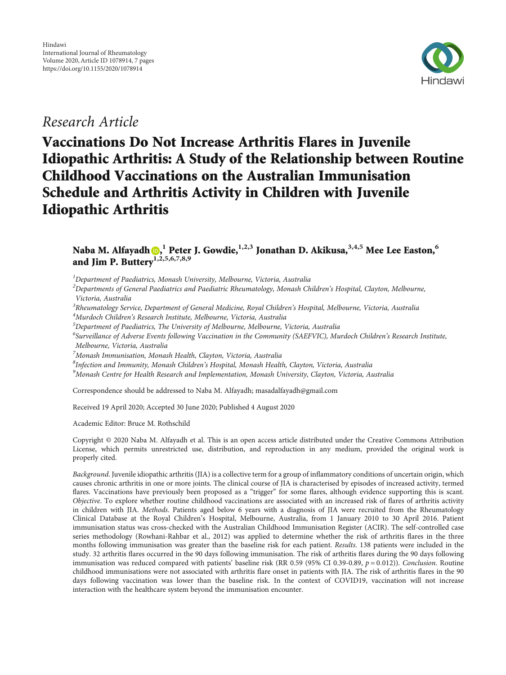

## Research Article

# Vaccinations Do Not Increase Arthritis Flares in Juvenile Idiopathic Arthritis: A Study of the Relationship between Routine Childhood Vaccinations on the Australian Immunisation Schedule and Arthritis Activity in Children with Juvenile Idiopathic Arthritis

## Naba M. Alfayadh , **<sup>1</sup>** Peter J. Gowdie,**1,2,3** Jonathan D. Akikusa,**3,4,5** Mee Lee Easton,**<sup>6</sup>** and Jim P. Buttery**1,2,5,6,7,8,9**

 ${}^{1}$ Department of Paediatrics, Monash University, Melbourne, Victoria, Australia

 $^2$ Departments of General Paediatrics and Paediatric Rheumatology, Monash Children's Hospital, Clayton, Melbourne, Victoria, Australia

<sup>3</sup>Rheumatology Service, Department of General Medicine, Royal Children's Hospital, Melbourne, Victoria, Australia<br><sup>4</sup>Murdoch Children's Pesearch Institute, Melbourne, Victoria, Australia

 $4$ Murdoch Children's Research Institute, Melbourne, Victoria, Australia

 $5$ Department of Paediatrics, The University of Melbourne, Melbourne, Victoria, Australia

<sup>6</sup>Surveillance of Adverse Events following Vaccination in the Community (SAEFVIC), Murdoch Children's Research Institute, Melbourne, Victoria, Australia

 $^7$ Monash Immunisation, Monash Health, Clayton, Victoria, Australia

<sup>8</sup>Infection and Immunity, Monash Children's Hospital, Monash Health, Clayton, Victoria, Australia<br><sup>9</sup>Monash Centre for Health Research and Implementation, Monash University, Clayton, Victoria, At

 $^9$ Monash Centre for Health Research and Implementation, Monash University, Clayton, Victoria, Australia

Correspondence should be addressed to Naba M. Alfayadh; masadalfayadh@gmail.com

Received 19 April 2020; Accepted 30 June 2020; Published 4 August 2020

Academic Editor: Bruce M. Rothschild

Copyright © 2020 Naba M. Alfayadh et al. This is an open access article distributed under the [Creative Commons Attribution](https://creativecommons.org/licenses/by/4.0/) [License,](https://creativecommons.org/licenses/by/4.0/) which permits unrestricted use, distribution, and reproduction in any medium, provided the original work is properly cited.

Background. Juvenile idiopathic arthritis (JIA) is a collective term for a group of inflammatory conditions of uncertain origin, which causes chronic arthritis in one or more joints. The clinical course of JIA is characterised by episodes of increased activity, termed flares. Vaccinations have previously been proposed as a "trigger" for some flares, although evidence supporting this is scant. Objective. To explore whether routine childhood vaccinations are associated with an increased risk of flares of arthritis activity in children with JIA. Methods. Patients aged below 6 years with a diagnosis of JIA were recruited from the Rheumatology Clinical Database at the Royal Children's Hospital, Melbourne, Australia, from 1 January 2010 to 30 April 2016. Patient immunisation status was cross-checked with the Australian Childhood Immunisation Register (ACIR). The self-controlled case series methodology (Rowhani-Rahbar et al., 2012) was applied to determine whether the risk of arthritis flares in the three months following immunisation was greater than the baseline risk for each patient. Results. 138 patients were included in the study. 32 arthritis flares occurred in the 90 days following immunisation. The risk of arthritis flares during the 90 days following immunisation was reduced compared with patients' baseline risk (RR 0.59 (95% CI 0.39-0.89, *p* = 0*:*012)). Conclusion. Routine childhood immunisations were not associated with arthritis flare onset in patients with JIA. The risk of arthritis flares in the 90 days following vaccination was lower than the baseline risk. In the context of COVID19, vaccination will not increase interaction with the healthcare system beyond the immunisation encounter.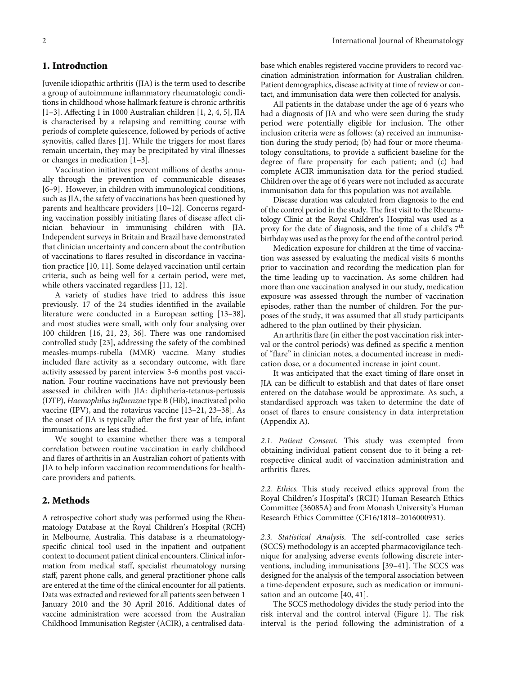## 1. Introduction

Juvenile idiopathic arthritis (JIA) is the term used to describe a group of autoimmune inflammatory rheumatologic conditions in childhood whose hallmark feature is chronic arthritis [\[1](#page-4-0)–[3](#page-4-0)]. Affecting 1 in 1000 Australian children [[1, 2,](#page-4-0) [4](#page-5-0), [5\]](#page-5-0), JIA is characterised by a relapsing and remitting course with periods of complete quiescence, followed by periods of active synovitis, called flares [[1](#page-4-0)]. While the triggers for most flares remain uncertain, they may be precipitated by viral illnesses or changes in medication [\[1](#page-4-0)–[3](#page-4-0)].

Vaccination initiatives prevent millions of deaths annually through the prevention of communicable diseases [\[6](#page-5-0)–[9](#page-5-0)]. However, in children with immunological conditions, such as JIA, the safety of vaccinations has been questioned by parents and healthcare providers [\[10](#page-5-0)–[12](#page-5-0)]. Concerns regarding vaccination possibly initiating flares of disease affect clinician behaviour in immunising children with JIA. Independent surveys in Britain and Brazil have demonstrated that clinician uncertainty and concern about the contribution of vaccinations to flares resulted in discordance in vaccination practice [[10](#page-5-0), [11](#page-5-0)]. Some delayed vaccination until certain criteria, such as being well for a certain period, were met, while others vaccinated regardless [\[11, 12](#page-5-0)].

A variety of studies have tried to address this issue previously. 17 of the 24 studies identified in the available literature were conducted in a European setting [\[13](#page-5-0)–[38](#page-6-0)], and most studies were small, with only four analysing over 100 children [[16](#page-5-0), [21](#page-5-0), [23](#page-5-0), [36\]](#page-6-0). There was one randomised controlled study [\[23\]](#page-5-0), addressing the safety of the combined measles-mumps-rubella (MMR) vaccine. Many studies included flare activity as a secondary outcome, with flare activity assessed by parent interview 3-6 months post vaccination. Four routine vaccinations have not previously been assessed in children with JIA: diphtheria-tetanus-pertussis (DTP), Haemophilus influenzae type B (Hib), inactivated polio vaccine (IPV), and the rotavirus vaccine [\[13](#page-5-0)–[21, 23](#page-5-0)–[38\]](#page-6-0). As the onset of JIA is typically after the first year of life, infant immunisations are less studied.

We sought to examine whether there was a temporal correlation between routine vaccination in early childhood and flares of arthritis in an Australian cohort of patients with JIA to help inform vaccination recommendations for healthcare providers and patients.

## 2. Methods

A retrospective cohort study was performed using the Rheumatology Database at the Royal Children's Hospital (RCH) in Melbourne, Australia. This database is a rheumatologyspecific clinical tool used in the inpatient and outpatient context to document patient clinical encounters. Clinical information from medical staff, specialist rheumatology nursing staff, parent phone calls, and general practitioner phone calls are entered at the time of the clinical encounter for all patients. Data was extracted and reviewed for all patients seen between 1 January 2010 and the 30 April 2016. Additional dates of vaccine administration were accessed from the Australian Childhood Immunisation Register (ACIR), a centralised database which enables registered vaccine providers to record vaccination administration information for Australian children. Patient demographics, disease activity at time of review or contact, and immunisation data were then collected for analysis.

All patients in the database under the age of 6 years who had a diagnosis of JIA and who were seen during the study period were potentially eligible for inclusion. The other inclusion criteria were as follows: (a) received an immunisation during the study period; (b) had four or more rheumatology consultations, to provide a sufficient baseline for the degree of flare propensity for each patient; and (c) had complete ACIR immunisation data for the period studied. Children over the age of 6 years were not included as accurate immunisation data for this population was not available.

Disease duration was calculated from diagnosis to the end of the control period in the study. The first visit to the Rheumatology Clinic at the Royal Children's Hospital was used as a proxy for the date of diagnosis, and the time of a child's  $7<sup>th</sup>$ birthday was used as the proxy for the end of the control period.

Medication exposure for children at the time of vaccination was assessed by evaluating the medical visits 6 months prior to vaccination and recording the medication plan for the time leading up to vaccination. As some children had more than one vaccination analysed in our study, medication exposure was assessed through the number of vaccination episodes, rather than the number of children. For the purposes of the study, it was assumed that all study participants adhered to the plan outlined by their physician.

An arthritis flare (in either the post vaccination risk interval or the control periods) was defined as specific a mention of "flare" in clinician notes, a documented increase in medication dose, or a documented increase in joint count.

It was anticipated that the exact timing of flare onset in JIA can be difficult to establish and that dates of flare onset entered on the database would be approximate. As such, a standardised approach was taken to determine the date of onset of flares to ensure consistency in data interpretation (Appendix [A](#page-4-0)).

2.1. Patient Consent. This study was exempted from obtaining individual patient consent due to it being a retrospective clinical audit of vaccination administration and arthritis flares.

2.2. Ethics. This study received ethics approval from the Royal Children's Hospital's (RCH) Human Research Ethics Committee (36085A) and from Monash University's Human Research Ethics Committee (CF16/1818–2016000931).

2.3. Statistical Analysis. The self-controlled case series (SCCS) methodology is an accepted pharmacovigilance technique for analysing adverse events following discrete interventions, including immunisations [[39](#page-6-0)–[41\]](#page-6-0). The SCCS was designed for the analysis of the temporal association between a time-dependent exposure, such as medication or immunisation and an outcome [[40](#page-6-0), [41\]](#page-6-0).

The SCCS methodology divides the study period into the risk interval and the control interval (Figure [1](#page-2-0)). The risk interval is the period following the administration of a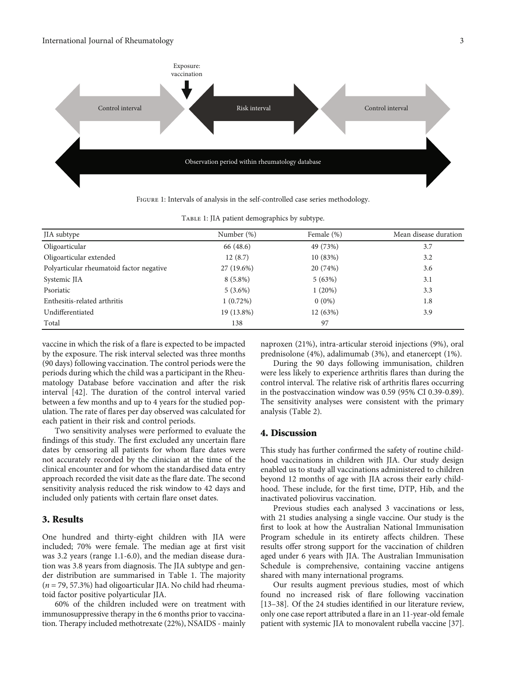<span id="page-2-0"></span>

Figure 1: Intervals of analysis in the self-controlled case series methodology.

| JIA subtype                              | Number (%) | Female (%) | Mean disease duration |  |
|------------------------------------------|------------|------------|-----------------------|--|
| Oligoarticular                           | 66 (48.6)  | 49 (73%)   | 3.7                   |  |
| Oligoarticular extended                  | 12(8.7)    | 10 (83%)   | 3.2                   |  |
| Polyarticular rheumatoid factor negative | 27 (19.6%) | 20 (74%)   | 3.6                   |  |
| Systemic JIA                             | $8(5.8\%)$ | 5(63%)     | 3.1                   |  |
| Psoriatic                                | $5(3.6\%)$ | 1(20%)     | 3.3                   |  |
| Enthesitis-related arthritis             | 1(0.72%)   | $0(0\%)$   | 1.8                   |  |
| Undifferentiated                         | 19 (13.8%) | 12 (63%)   | 3.9                   |  |
| Total                                    | 138        | 97         |                       |  |

TABLE 1: JIA patient demographics by subtype.

vaccine in which the risk of a flare is expected to be impacted by the exposure. The risk interval selected was three months (90 days) following vaccination. The control periods were the periods during which the child was a participant in the Rheumatology Database before vaccination and after the risk interval [\[42](#page-6-0)]. The duration of the control interval varied between a few months and up to 4 years for the studied population. The rate of flares per day observed was calculated for each patient in their risk and control periods.

Two sensitivity analyses were performed to evaluate the findings of this study. The first excluded any uncertain flare dates by censoring all patients for whom flare dates were not accurately recorded by the clinician at the time of the clinical encounter and for whom the standardised data entry approach recorded the visit date as the flare date. The second sensitivity analysis reduced the risk window to 42 days and included only patients with certain flare onset dates.

## 3. Results

One hundred and thirty-eight children with JIA were included; 70% were female. The median age at first visit was 3.2 years (range 1.1-6.0), and the median disease duration was 3.8 years from diagnosis. The JIA subtype and gender distribution are summarised in Table 1. The majority (*n* = 79, 57.3%) had oligoarticular JIA. No child had rheumatoid factor positive polyarticular JIA.

60% of the children included were on treatment with immunosuppressive therapy in the 6 months prior to vaccination. Therapy included methotrexate (22%), NSAIDS - mainly naproxen (21%), intra-articular steroid injections (9%), oral prednisolone (4%), adalimumab (3%), and etanercept (1%).

During the 90 days following immunisation, children were less likely to experience arthritis flares than during the control interval. The relative risk of arthritis flares occurring in the postvaccination window was 0.59 (95% CI 0.39-0.89). The sensitivity analyses were consistent with the primary analysis (Table [2](#page-3-0)).

#### 4. Discussion

This study has further confirmed the safety of routine childhood vaccinations in children with JIA. Our study design enabled us to study all vaccinations administered to children beyond 12 months of age with JIA across their early childhood. These include, for the first time, DTP, Hib, and the inactivated poliovirus vaccination.

Previous studies each analysed 3 vaccinations or less, with 21 studies analysing a single vaccine. Our study is the first to look at how the Australian National Immunisation Program schedule in its entirety affects children. These results offer strong support for the vaccination of children aged under 6 years with JIA. The Australian Immunisation Schedule is comprehensive, containing vaccine antigens shared with many international programs.

Our results augment previous studies, most of which found no increased risk of flare following vaccination [\[13](#page-5-0)–[38\]](#page-6-0). Of the 24 studies identified in our literature review, only one case report attributed a flare in an 11-year-old female patient with systemic JIA to monovalent rubella vaccine [\[37](#page-6-0)].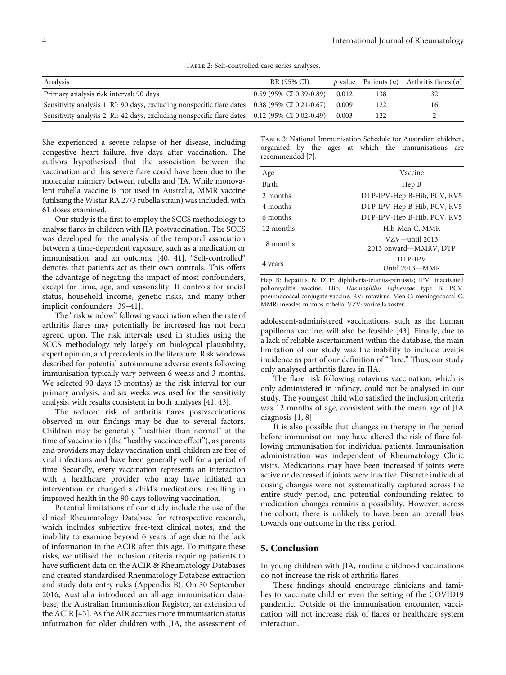TABLE 2: Self-controlled case series analyses.

<span id="page-3-0"></span>

| Analysis                                                                                       | RR (95% CI)               |       |     | p value Patients $(n)$ Arthritis flares $(n)$ |
|------------------------------------------------------------------------------------------------|---------------------------|-------|-----|-----------------------------------------------|
| Primary analysis risk interval: 90 days                                                        | $0.59$ (95% CI 0.39-0.89) | 0.012 | 138 | 32                                            |
| Sensitivity analysis 1; RI: 90 days, excluding nonspecific flare dates 0.38 (95% CI 0.21-0.67) |                           | 0.009 | 122 | 16                                            |
| Sensitivity analysis 2; RI: 42 days, excluding nonspecific flare dates 0.12 (95% CI 0.02-0.49) |                           | 0.003 | 122 |                                               |

She experienced a severe relapse of her disease, including congestive heart failure, five days after vaccination. The authors hypothesised that the association between the vaccination and this severe flare could have been due to the molecular mimicry between rubella and JIA. While monovalent rubella vaccine is not used in Australia, MMR vaccine (utilising the Wistar RA 27/3 rubella strain) was included, with 61 doses examined.

Our study is the first to employ the SCCS methodology to analyse flares in children with JIA postvaccination. The SCCS was developed for the analysis of the temporal association between a time-dependent exposure, such as a medication or immunisation, and an outcome [\[40, 41](#page-6-0)]. "Self-controlled" denotes that patients act as their own controls. This offers the advantage of negating the impact of most confounders, except for time, age, and seasonality. It controls for social status, household income, genetic risks, and many other implicit confounders [[39](#page-6-0)–[41\]](#page-6-0).

The "risk window" following vaccination when the rate of arthritis flares may potentially be increased has not been agreed upon. The risk intervals used in studies using the SCCS methodology rely largely on biological plausibility, expert opinion, and precedents in the literature. Risk windows described for potential autoimmune adverse events following immunisation typically vary between 6 weeks and 3 months. We selected 90 days (3 months) as the risk interval for our primary analysis, and six weeks was used for the sensitivity analysis, with results consistent in both analyses [[41, 43](#page-6-0)].

The reduced risk of arthritis flares postvaccinations observed in our findings may be due to several factors. Children may be generally "healthier than normal" at the time of vaccination (the "healthy vaccinee effect"), as parents and providers may delay vaccination until children are free of viral infections and have been generally well for a period of time. Secondly, every vaccination represents an interaction with a healthcare provider who may have initiated an intervention or changed a child's medications, resulting in improved health in the 90 days following vaccination.

Potential limitations of our study include the use of the clinical Rheumatology Database for retrospective research, which includes subjective free-text clinical notes, and the inability to examine beyond 6 years of age due to the lack of information in the ACIR after this age. To mitigate these risks, we utilised the inclusion criteria requiring patients to have sufficient data on the ACIR & Rheumatology Databases and created standardised Rheumatology Database extraction and study data entry rules (Appendix [B](#page-4-0)). On 30 September 2016, Australia introduced an all-age immunisation database, the Australian Immunisation Register, an extension of the ACIR [[43\]](#page-6-0). As the AIR accrues more immunisation status information for older children with JIA, the assessment of Table 3: National Immunisation Schedule for Australian children, organised by the ages at which the immunisations are recommended [\[7](#page-5-0)].

| Age       | Vaccine                                     |  |  |
|-----------|---------------------------------------------|--|--|
| Birth     | Hep B                                       |  |  |
| 2 months  | DTP-IPV-Hep B-Hib, PCV, RV5                 |  |  |
| 4 months  | DTP-IPV-Hep B-Hib, PCV, RV5                 |  |  |
| 6 months  | DTP-IPV-Hep B-Hib, PCV, RV5                 |  |  |
| 12 months | Hib-Men C, MMR                              |  |  |
| 18 months | $VZV$ - until 2013<br>2013 onward-MMRV, DTP |  |  |
| 4 years   | DTP-IPV                                     |  |  |
|           | Until 2013-MMR                              |  |  |

Hep B: hepatitis B; DTP: diphtheria-tetanus-pertussis; IPV: inactivated poliomyelitis vaccine; Hib: Haemophilus influenzae type B; PCV: pneumococcal conjugate vaccine; RV: rotavirus; Men C: meningococcal C; MMR: measles-mumps-rubella; VZV: varicella zoster.

adolescent-administered vaccinations, such as the human papilloma vaccine, will also be feasible [[43](#page-6-0)]. Finally, due to a lack of reliable ascertainment within the database, the main limitation of our study was the inability to include uveitis incidence as part of our definition of "flare." Thus, our study only analysed arthritis flares in JIA.

The flare risk following rotavirus vaccination, which is only administered in infancy, could not be analysed in our study. The youngest child who satisfied the inclusion criteria was 12 months of age, consistent with the mean age of JIA diagnosis [\[1](#page-4-0), [8\]](#page-5-0).

It is also possible that changes in therapy in the period before immunisation may have altered the risk of flare following immunisation for individual patients. Immunisation administration was independent of Rheumatology Clinic visits. Medications may have been increased if joints were active or decreased if joints were inactive. Discrete individual dosing changes were not systematically captured across the entire study period, and potential confounding related to medication changes remains a possibility. However, across the cohort, there is unlikely to have been an overall bias towards one outcome in the risk period.

## 5. Conclusion

In young children with JIA, routine childhood vaccinations do not increase the risk of arthritis flares.

These findings should encourage clinicians and families to vaccinate children even the setting of the COVID19 pandemic. Outside of the immunisation encounter, vaccination will not increase risk of flares or healthcare system interaction.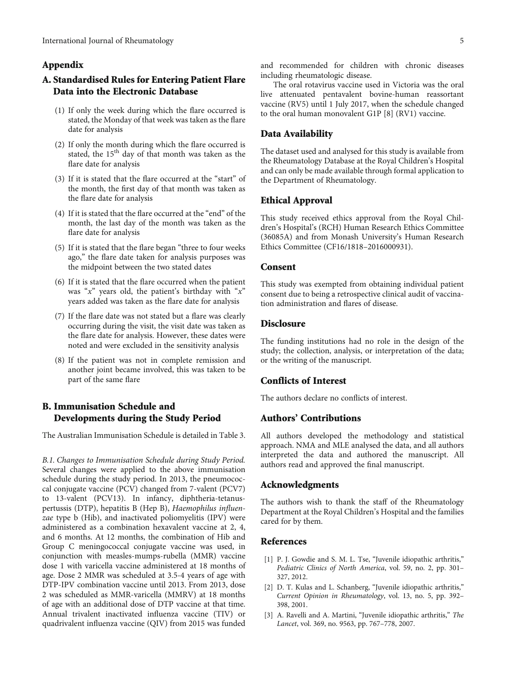## <span id="page-4-0"></span>Appendix

## A. Standardised Rules for Entering Patient Flare Data into the Electronic Database

- (1) If only the week during which the flare occurred is stated, the Monday of that week was taken as the flare date for analysis
- (2) If only the month during which the flare occurred is stated, the  $15<sup>th</sup>$  day of that month was taken as the flare date for analysis
- (3) If it is stated that the flare occurred at the "start" of the month, the first day of that month was taken as the flare date for analysis
- (4) If it is stated that the flare occurred at the "end" of the month, the last day of the month was taken as the flare date for analysis
- (5) If it is stated that the flare began "three to four weeks ago," the flare date taken for analysis purposes was the midpoint between the two stated dates
- (6) If it is stated that the flare occurred when the patient was "*x*" years old, the patient's birthday with "*x*" years added was taken as the flare date for analysis
- (7) If the flare date was not stated but a flare was clearly occurring during the visit, the visit date was taken as the flare date for analysis. However, these dates were noted and were excluded in the sensitivity analysis
- (8) If the patient was not in complete remission and another joint became involved, this was taken to be part of the same flare

## B. Immunisation Schedule and Developments during the Study Period

The Australian Immunisation Schedule is detailed in Table [3.](#page-3-0)

B.1. Changes to Immunisation Schedule during Study Period. Several changes were applied to the above immunisation schedule during the study period. In 2013, the pneumococcal conjugate vaccine (PCV) changed from 7-valent (PCV7) to 13-valent (PCV13). In infancy, diphtheria-tetanuspertussis (DTP), hepatitis B (Hep B), Haemophilus influenzae type b (Hib), and inactivated poliomyelitis (IPV) were administered as a combination hexavalent vaccine at 2, 4, and 6 months. At 12 months, the combination of Hib and Group C meningococcal conjugate vaccine was used, in conjunction with measles-mumps-rubella (MMR) vaccine dose 1 with varicella vaccine administered at 18 months of age. Dose 2 MMR was scheduled at 3.5-4 years of age with DTP-IPV combination vaccine until 2013. From 2013, dose 2 was scheduled as MMR-varicella (MMRV) at 18 months of age with an additional dose of DTP vaccine at that time. Annual trivalent inactivated influenza vaccine (TIV) or quadrivalent influenza vaccine (QIV) from 2015 was funded and recommended for children with chronic diseases including rheumatologic disease.

The oral rotavirus vaccine used in Victoria was the oral live attenuated pentavalent bovine-human reassortant vaccine (RV5) until 1 July 2017, when the schedule changed to the oral human monovalent G1P [8] (RV1) vaccine.

## Data Availability

The dataset used and analysed for this study is available from the Rheumatology Database at the Royal Children's Hospital and can only be made available through formal application to the Department of Rheumatology.

## Ethical Approval

This study received ethics approval from the Royal Children's Hospital's (RCH) Human Research Ethics Committee (36085A) and from Monash University's Human Research Ethics Committee (CF16/1818–2016000931).

#### Consent

This study was exempted from obtaining individual patient consent due to being a retrospective clinical audit of vaccination administration and flares of disease.

### **Disclosure**

The funding institutions had no role in the design of the study; the collection, analysis, or interpretation of the data; or the writing of the manuscript.

## Conflicts of Interest

The authors declare no conflicts of interest.

### Authors' Contributions

All authors developed the methodology and statistical approach. NMA and MLE analysed the data, and all authors interpreted the data and authored the manuscript. All authors read and approved the final manuscript.

## Acknowledgments

The authors wish to thank the staff of the Rheumatology Department at the Royal Children's Hospital and the families cared for by them.

## References

- [1] P. J. Gowdie and S. M. L. Tse, "Juvenile idiopathic arthritis," Pediatric Clinics of North America, vol. 59, no. 2, pp. 301– 327, 2012.
- [2] D. T. Kulas and L. Schanberg, "Juvenile idiopathic arthritis," Current Opinion in Rheumatology, vol. 13, no. 5, pp. 392– 398, 2001.
- [3] A. Ravelli and A. Martini, "Juvenile idiopathic arthritis," The Lancet, vol. 369, no. 9563, pp. 767–778, 2007.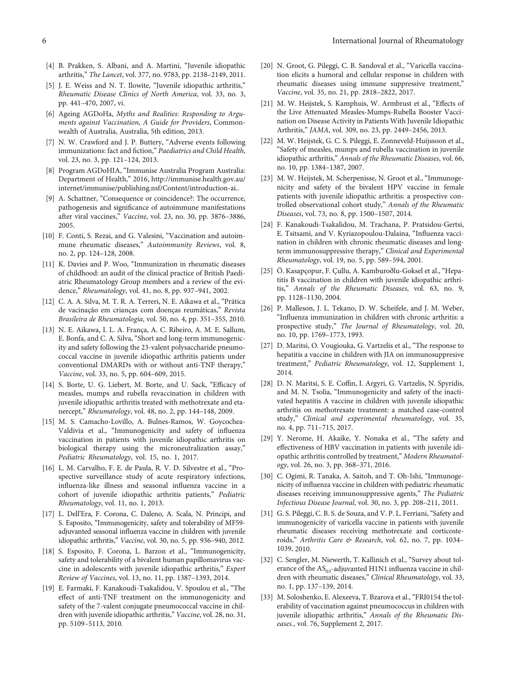- <span id="page-5-0"></span>[4] B. Prakken, S. Albani, and A. Martini, "Juvenile idiopathic arthritis," The Lancet, vol. 377, no. 9783, pp. 2138–2149, 2011.
- [5] J. E. Weiss and N. T. Ilowite, "Juvenile idiopathic arthritis," Rheumatic Disease Clinics of North America, vol. 33, no. 3, pp. 441–470, 2007, vi.
- [6] Ageing AGDoHa, Myths and Realities: Responding to Arguments against Vaccination, A Guide for Providers, Commonwealth of Australia, Australia, 5th edition, 2013.
- [7] N. W. Crawford and J. P. Buttery, "Adverse events following immunizations: fact and fiction," Paediatrics and Child Health, vol. 23, no. 3, pp. 121–124, 2013.
- [8] Program AGDoHIA, "Immunise Australia Program Australia: Department of Health," 2016, [http://immunise.health.gov.au/](http://immunise.health.gov.au/internet/immunise/publishing.nsf/Content/introduction-ai) [internet/immunise/publishing.nsf/Content/introduction-ai.](http://immunise.health.gov.au/internet/immunise/publishing.nsf/Content/introduction-ai).
- [9] A. Schattner, "Consequence or coincidence?: The occurrence, pathogenesis and significance of autoimmune manifestations after viral vaccines," Vaccine, vol. 23, no. 30, pp. 3876–3886, 2005.
- [10] F. Conti, S. Rezai, and G. Valesini, "Vaccination and autoimmune rheumatic diseases," Autoimmunity Reviews, vol. 8, no. 2, pp. 124–128, 2008.
- [11] K. Davies and P. Woo, "Immunization in rheumatic diseases of childhood: an audit of the clinical practice of British Paediatric Rheumatology Group members and a review of the evidence," Rheumatology, vol. 41, no. 8, pp. 937–941, 2002.
- [12] C. A. A. Silva, M. T. R. A. Terreri, N. E. Aikawa et al., "Prática de vacinação em crianças com doenças reumáticas," Revista Brasileira de Rheumatologia, vol. 50, no. 4, pp. 351–355, 2010.
- [13] N. E. Aikawa, I. L. A. França, A. C. Ribeiro, A. M. E. Sallum, E. Bonfa, and C. A. Silva, "Short and long-term immunogenicity and safety following the 23-valent polysaccharide pneumococcal vaccine in juvenile idiopathic arthritis patients under conventional DMARDs with or without anti-TNF therapy," Vaccine, vol. 33, no. 5, pp. 604–609, 2015.
- [14] S. Borte, U. G. Liebert, M. Borte, and U. Sack, "Efficacy of measles, mumps and rubella revaccination in children with juvenile idiopathic arthritis treated with methotrexate and etanercept," Rheumatology, vol. 48, no. 2, pp. 144–148, 2009.
- [15] M. S. Camacho-Lovillo, A. Bulnes-Ramos, W. Goycochea-Valdivia et al., "Immunogenicity and safety of influenza vaccination in patients with juvenile idiopathic arthritis on biological therapy using the microneutralization assay," Pediatric Rheumatology, vol. 15, no. 1, 2017.
- [16] L. M. Carvalho, F. E. de Paula, R. V. D. Silvestre et al., "Prospective surveillance study of acute respiratory infections, influenza-like illness and seasonal influenza vaccine in a cohort of juvenile idiopathic arthritis patients," Pediatric Rheumatology, vol. 11, no. 1, 2013.
- [17] L. Dell'Era, F. Corona, C. Daleno, A. Scala, N. Principi, and S. Esposito, "Immunogenicity, safety and tolerability of MF59 adjuvanted seasonal influenza vaccine in children with juvenile idiopathic arthritis," Vaccine, vol. 30, no. 5, pp. 936–940, 2012.
- [18] S. Esposito, F. Corona, L. Barzon et al., "Immunogenicity, safety and tolerability of a bivalent human papillomavirus vaccine in adolescents with juvenile idiopathic arthritis," Expert Review of Vaccines, vol. 13, no. 11, pp. 1387–1393, 2014.
- [19] E. Farmaki, F. Kanakoudi-Tsakalidou, V. Spoulou et al., "The effect of anti-TNF treatment on the immunogenicity and safety of the 7-valent conjugate pneumococcal vaccine in children with juvenile idiopathic arthritis," Vaccine, vol. 28, no. 31, pp. 5109–5113, 2010.
- [20] N. Groot, G. Pileggi, C. B. Sandoval et al., "Varicella vaccination elicits a humoral and cellular response in children with rheumatic diseases using immune suppressive treatment," Vaccine, vol. 35, no. 21, pp. 2818–2822, 2017.
- [21] M. W. Heijstek, S. Kamphuis, W. Armbrust et al., "Effects of the Live Attenuated Measles-Mumps-Rubella Booster Vaccination on Disease Activity in Patients With Juvenile Idiopathic Arthritis," JAMA, vol. 309, no. 23, pp. 2449–2456, 2013.
- [22] M. W. Heijstek, G. C. S. Pileggi, E. Zonneveld-Huijssoon et al., "Safety of measles, mumps and rubella vaccination in juvenile idiopathic arthritis," Annals of the Rheumatic Diseases, vol. 66, no. 10, pp. 1384–1387, 2007.
- [23] M. W. Heijstek, M. Scherpenisse, N. Groot et al., "Immunogenicity and safety of the bivalent HPV vaccine in female patients with juvenile idiopathic arthritis: a prospective controlled observational cohort study," Annals of the Rheumatic Diseases, vol. 73, no. 8, pp. 1500–1507, 2014.
- [24] F. Kanakoudi-Tsakalidou, M. Trachana, P. Pratsidou-Gertsi, E. Tsitsami, and V. Kyriazopoulou-Dalaina, "Influenza vaccination in children with chronic rheumatic diseases and longterm immunosuppressive therapy," Clinical and Experimental Rheumatology, vol. 19, no. 5, pp. 589–594, 2001.
- [25] Ö. Kasapçopur, F. Çullu, A. Kamburoðlu-Goksel et al., "Hepatitis B vaccination in children with juvenile idiopathic arthritis," Annals of the Rheumatic Diseases, vol. 63, no. 9, pp. 1128–1130, 2004.
- [26] P. Malleson, J. L. Tekano, D. W. Scheifele, and J. M. Weber, "Influenza immunization in children with chronic arthritis: a prospective study," The Journal of Rheumatology, vol. 20, no. 10, pp. 1769–1773, 1993.
- [27] D. Maritsi, O. Vougiouka, G. Vartzelis et al., "The response to hepatitis a vaccine in children with JIA on immunosuppresive treatment," Pediatric Rheumatology, vol. 12, Supplement 1, 2014.
- [28] D. N. Maritsi, S. E. Coffin, I. Argyri, G. Vartzelis, N. Spyridis, and M. N. Tsolia, "Immunogenicity and safety of the inactivated hepatitis A vaccine in children with juvenile idiopathic arthritis on methotrexate treatment: a matched case-control study," Clinical and experimental rheumatology, vol. 35, no. 4, pp. 711–715, 2017.
- [29] Y. Nerome, H. Akaike, Y. Nonaka et al., "The safety and effectiveness of HBV vaccination in patients with juvenile idiopathic arthritis controlled by treatment," Modern Rheumatology, vol. 26, no. 3, pp. 368–371, 2016.
- [30] C. Ogimi, R. Tanaka, A. Saitoh, and T. Oh-Ishi, "Immunogenicity of influenza vaccine in children with pediatric rheumatic diseases receiving immunosuppressive agents," The Pediatric Infectious Disease Journal, vol. 30, no. 3, pp. 208–211, 2011.
- [31] G. S. Pileggi, C. B. S. de Souza, and V. P. L. Ferriani, "Safety and immunogenicity of varicella vaccine in patients with juvenile rheumatic diseases receiving methotrexate and corticosteroids," Arthritis Care & Research, vol. 62, no. 7, pp. 1034– 1039, 2010.
- [32] C. Sengler, M. Niewerth, T. Kallinich et al., "Survey about tolerance of the  $AS<sub>03</sub>$ -adjuvanted H1N1 influenza vaccine in children with rheumatic diseases," Clinical Rheumatology, vol. 33, no. 1, pp. 137–139, 2014.
- [33] M. Soloshenko, E. Alexeeva, T. Bzarova et al., "FRI0154 the tolerability of vaccination against pneumococcus in children with juvenile idiopathic arthritis," Annals of the Rheumatic Diseases., vol. 76, Supplement 2, 2017.